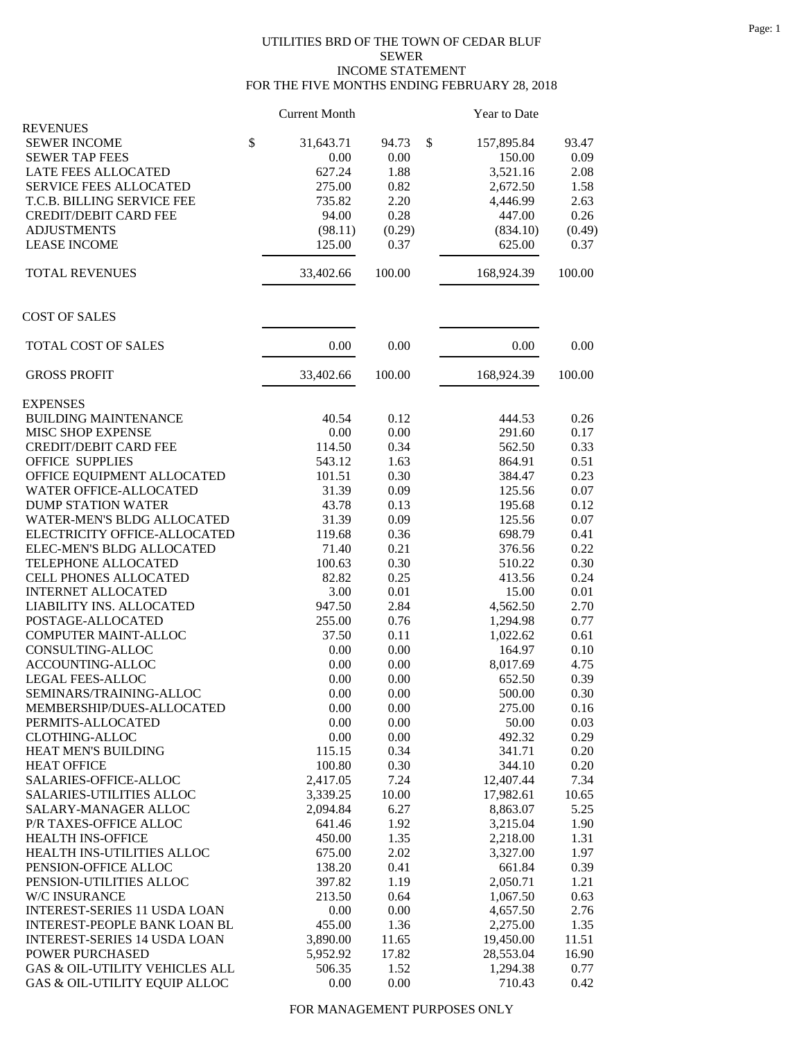## UTILITIES BRD OF THE TOWN OF CEDAR BLUF SEWER INCOME STATEMENT FOR THE FIVE MONTHS ENDING FEBRUARY 28, 2018

|                                     | <b>Current Month</b> |        | Year to Date     |        |
|-------------------------------------|----------------------|--------|------------------|--------|
| <b>REVENUES</b>                     |                      |        |                  |        |
| <b>SEWER INCOME</b>                 | \$<br>31,643.71      | 94.73  | \$<br>157,895.84 | 93.47  |
| <b>SEWER TAP FEES</b>               | 0.00                 | 0.00   | 150.00           | 0.09   |
| LATE FEES ALLOCATED                 | 627.24               | 1.88   | 3,521.16         | 2.08   |
| <b>SERVICE FEES ALLOCATED</b>       | 275.00               | 0.82   | 2,672.50         | 1.58   |
| T.C.B. BILLING SERVICE FEE          | 735.82               | 2.20   | 4,446.99         | 2.63   |
| <b>CREDIT/DEBIT CARD FEE</b>        | 94.00                | 0.28   | 447.00           | 0.26   |
| <b>ADJUSTMENTS</b>                  | (98.11)              | (0.29) | (834.10)         | (0.49) |
| <b>LEASE INCOME</b>                 | 125.00               | 0.37   | 625.00           | 0.37   |
| <b>TOTAL REVENUES</b>               | 33,402.66            | 100.00 | 168,924.39       | 100.00 |
| <b>COST OF SALES</b>                |                      |        |                  |        |
| TOTAL COST OF SALES                 | 0.00                 | 0.00   | 0.00             | 0.00   |
| <b>GROSS PROFIT</b>                 | 33,402.66            | 100.00 | 168,924.39       | 100.00 |
| <b>EXPENSES</b>                     |                      |        |                  |        |
| <b>BUILDING MAINTENANCE</b>         | 40.54                | 0.12   | 444.53           | 0.26   |
| MISC SHOP EXPENSE                   | 0.00                 | 0.00   | 291.60           | 0.17   |
| <b>CREDIT/DEBIT CARD FEE</b>        | 114.50               | 0.34   | 562.50           | 0.33   |
| <b>OFFICE SUPPLIES</b>              | 543.12               | 1.63   | 864.91           | 0.51   |
| OFFICE EQUIPMENT ALLOCATED          | 101.51               | 0.30   | 384.47           | 0.23   |
| WATER OFFICE-ALLOCATED              | 31.39                | 0.09   | 125.56           | 0.07   |
| <b>DUMP STATION WATER</b>           | 43.78                | 0.13   | 195.68           | 0.12   |
| <b>WATER-MEN'S BLDG ALLOCATED</b>   | 31.39                | 0.09   | 125.56           | 0.07   |
| ELECTRICITY OFFICE-ALLOCATED        | 119.68               | 0.36   | 698.79           | 0.41   |
| ELEC-MEN'S BLDG ALLOCATED           | 71.40                | 0.21   | 376.56           | 0.22   |
| TELEPHONE ALLOCATED                 | 100.63               | 0.30   | 510.22           | 0.30   |
| CELL PHONES ALLOCATED               | 82.82                | 0.25   | 413.56           | 0.24   |
| <b>INTERNET ALLOCATED</b>           | 3.00                 | 0.01   | 15.00            | 0.01   |
| LIABILITY INS. ALLOCATED            | 947.50               | 2.84   | 4,562.50         | 2.70   |
| POSTAGE-ALLOCATED                   | 255.00               | 0.76   | 1,294.98         | 0.77   |
| COMPUTER MAINT-ALLOC                | 37.50                | 0.11   | 1,022.62         | 0.61   |
| CONSULTING-ALLOC                    | 0.00                 | 0.00   | 164.97           | 0.10   |
| ACCOUNTING-ALLOC                    | 0.00                 | 0.00   | 8,017.69         | 4.75   |
| LEGAL FEES-ALLOC                    | 0.00                 | 0.00   | 652.50           | 0.39   |
| SEMINARS/TRAINING-ALLOC             | 0.00                 | 0.00   | 500.00           | 0.30   |
| MEMBERSHIP/DUES-ALLOCATED           | 0.00                 | 0.00   | 275.00           | 0.16   |
| PERMITS-ALLOCATED                   | 0.00                 | 0.00   | 50.00            | 0.03   |
| <b>CLOTHING-ALLOC</b>               | 0.00                 | 0.00   | 492.32           | 0.29   |
| HEAT MEN'S BUILDING                 | 115.15               | 0.34   | 341.71           | 0.20   |
| <b>HEAT OFFICE</b>                  | 100.80               | 0.30   | 344.10           | 0.20   |
| SALARIES-OFFICE-ALLOC               | 2,417.05             | 7.24   | 12,407.44        | 7.34   |
| <b>SALARIES-UTILITIES ALLOC</b>     | 3,339.25             | 10.00  | 17,982.61        | 10.65  |
| SALARY-MANAGER ALLOC                | 2,094.84             | 6.27   | 8,863.07         | 5.25   |
| P/R TAXES-OFFICE ALLOC              | 641.46               | 1.92   | 3,215.04         | 1.90   |
| HEALTH INS-OFFICE                   | 450.00               | 1.35   | 2,218.00         | 1.31   |
| HEALTH INS-UTILITIES ALLOC          | 675.00               | 2.02   | 3,327.00         | 1.97   |
| PENSION-OFFICE ALLOC                | 138.20               | 0.41   | 661.84           | 0.39   |
| PENSION-UTILITIES ALLOC             | 397.82               | 1.19   | 2,050.71         | 1.21   |
| W/C INSURANCE                       | 213.50               | 0.64   | 1,067.50         | 0.63   |
| <b>INTEREST-SERIES 11 USDA LOAN</b> | 0.00                 | 0.00   | 4,657.50         | 2.76   |
| INTEREST-PEOPLE BANK LOAN BL        | 455.00               | 1.36   | 2,275.00         | 1.35   |
| <b>INTEREST-SERIES 14 USDA LOAN</b> | 3,890.00             | 11.65  | 19,450.00        | 11.51  |
| POWER PURCHASED                     | 5,952.92             | 17.82  | 28,553.04        | 16.90  |
| GAS & OIL-UTILITY VEHICLES ALL      | 506.35               | 1.52   | 1,294.38         | 0.77   |
| GAS & OIL-UTILITY EQUIP ALLOC       | 0.00                 | 0.00   | 710.43           | 0.42   |